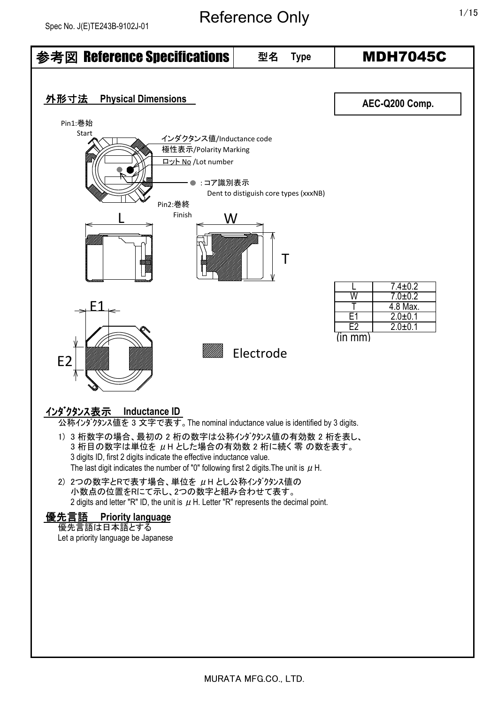# Reference Only 1/15

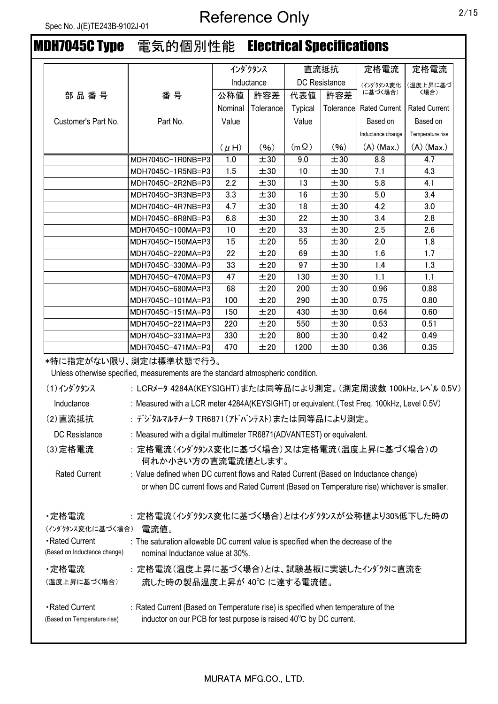# MDH7045C Type 電気的個別性能 Electrical Specifications

|                     |                   |           | インダクタンス    |                | 直流抵抗                 | 定格電流                 | 定格電流                 |
|---------------------|-------------------|-----------|------------|----------------|----------------------|----------------------|----------------------|
|                     |                   |           | Inductance |                | <b>DC</b> Resistance | (インダクタンス変化           | (温度上昇に基づ             |
| 部品番号                | 番号                | 公称値       | 許容差        | 代表値            | 許容差                  | に基づく場合)              | 〈場合)                 |
|                     |                   | Nominal   | Tolerance  | <b>Typical</b> | Tolerance            | <b>Rated Current</b> | <b>Rated Current</b> |
| Customer's Part No. | Part No.          | Value     |            | Value          |                      | Based on             | Based on             |
|                     |                   |           |            |                |                      | Inductance change    | Temperature rise     |
|                     |                   | $(\mu H)$ | (96)       | $(m \Omega)$   | (96)                 | $(A)$ (Max.)         | $(A)$ (Max.)         |
|                     | MDH7045C-1R0NB=P3 | 1.0       | ±30        | 9.0            | ±30                  | 8.8                  | 4.7                  |
|                     | MDH7045C-1R5NB=P3 | 1.5       | ±30        | 10             | ±30                  | 7.1                  | 4.3                  |
|                     | MDH7045C-2R2NB=P3 | 2.2       | ±30        | 13             | ±30                  | 5.8                  | 4.1                  |
|                     | MDH7045C-3R3NB=P3 | 3.3       | ±30        | 16             | ±30                  | 5.0                  | 3.4                  |
|                     | MDH7045C-4R7NB=P3 | 4.7       | ±30        | 18             | ±30                  | 4.2                  | 3.0                  |
|                     | MDH7045C-6R8NB=P3 | 6.8       | ±30        | 22             | ±30                  | 3.4                  | 2.8                  |
|                     | MDH7045C-100MA=P3 | 10        | ±20        | 33             | ±30                  | 2.5                  | 2.6                  |
|                     | MDH7045C-150MA=P3 | 15        | ±20        | 55             | ±30                  | 2.0                  | 1.8                  |
|                     | MDH7045C-220MA=P3 | 22        | ±20        | 69             | ±30                  | 1.6                  | 1.7                  |
|                     | MDH7045C-330MA=P3 | 33        | ±20        | 97             | ±30                  | 1.4                  | 1.3                  |
|                     | MDH7045C-470MA=P3 | 47        | ±20        | 130            | ±30                  | 1.1                  | 1.1                  |
|                     | MDH7045C-680MA=P3 | 68        | ±20        | 200            | ±30                  | 0.96                 | 0.88                 |
|                     | MDH7045C-101MA=P3 | 100       | ±20        | 290            | ±30                  | 0.75                 | 0.80                 |
|                     | MDH7045C-151MA=P3 | 150       | ±20        | 430            | ±30                  | 0.64                 | 0.60                 |
|                     | MDH7045C-221MA=P3 | 220       | ±20        | 550            | ±30                  | 0.53                 | 0.51                 |
|                     | MDH7045C-331MA=P3 | 330       | ±20        | 800            | ±30                  | 0.42                 | 0.49                 |
|                     | MDH7045C-471MA=P3 | 470       | ±20        | 1200           | ±30                  | 0.36                 | 0.35                 |

\*特に指定がない限り、測定は標準状態で行う。

Unless otherwise specified, measurements are the standard atmospheric condition.

| (1)インダクタンス                                     | :LCRメータ 4284A(KEYSIGHT)または同等品により測定。(測定周波数 100kHz、レベル 0.5V)                                                                                             |
|------------------------------------------------|--------------------------------------------------------------------------------------------------------------------------------------------------------|
| Inductance                                     | : Measured with a LCR meter 4284A(KEYSIGHT) or equivalent. (Test Freq. 100kHz, Level 0.5V)                                                             |
| (2)直流抵抗                                        | : デジタルマルチメータ TR6871(アドバンテスト)または同等品により測定。                                                                                                               |
| DC Resistance                                  | : Measured with a digital multimeter TR6871(ADVANTEST) or equivalent.                                                                                  |
| (3) 定格電流                                       | :定格電流(インダクタンス変化に基づく場合)又は定格電流(温度上昇に基づく場合)の<br>何れか小さい方の直流電流値とします。                                                                                        |
| <b>Rated Current</b>                           | : Value defined when DC current flows and Rated Current (Based on Inductance change)                                                                   |
|                                                | or when DC current flows and Rated Current (Based on Temperature rise) whichever is smaller.                                                           |
| ・定格電流<br>(インダクタンス変化に基づく場合)                     | : 定格電流(インダクタンス変化に基づく場合)とはインダクタンスが公称値より30%低下した時の<br>電流値。                                                                                                |
| -Rated Current<br>(Based on Inductance change) | : The saturation allowable DC current value is specified when the decrease of the<br>nominal Inductance value at 30%.                                  |
| ・定格電流<br>(温度上昇に基づく場合)                          | : 定格電流(温度上昇に基づく場合)とは、試験基板に実装したインダクタに直流を<br>流した時の製品温度上昇が 40℃ に達する電流値。                                                                                   |
| Rated Current<br>(Based on Temperature rise)   | : Rated Current (Based on Temperature rise) is specified when temperature of the<br>inductor on our PCB for test purpose is raised 40°C by DC current. |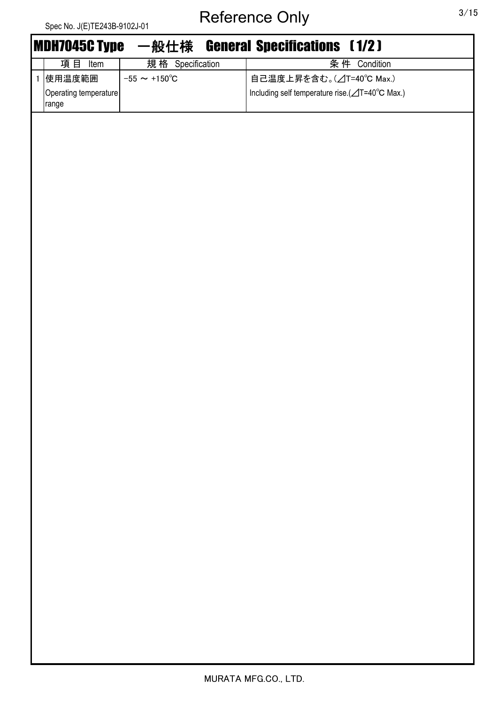|              | Spec No. J(E) I E243B-9102J-01 |                          |                                                |
|--------------|--------------------------------|--------------------------|------------------------------------------------|
|              | <b>MDH7045C Type</b>           |                          | 一般仕様 General Specifications [1/2]              |
|              | 項目<br>Item                     | 規格 Specification         | 条件 Condition                                   |
| $\mathbf{1}$ | 使用温度範囲                         | $-55 \sim +150^{\circ}C$ | 自己温度上昇を含む。(△T=40℃ Max.)                        |
|              | Operating temperature<br>range |                          | Including self temperature rise.(⊿T=40°C Max.) |
|              |                                |                          |                                                |
|              |                                |                          |                                                |
|              |                                |                          |                                                |
|              |                                |                          |                                                |
|              |                                |                          |                                                |
|              |                                |                          |                                                |
|              |                                |                          |                                                |
|              |                                |                          |                                                |
|              |                                |                          |                                                |
|              |                                |                          |                                                |
|              |                                |                          |                                                |
|              |                                |                          |                                                |
|              |                                |                          |                                                |
|              |                                |                          |                                                |
|              |                                |                          |                                                |
|              |                                |                          |                                                |
|              |                                |                          |                                                |
|              |                                |                          |                                                |
|              |                                |                          |                                                |
|              |                                |                          |                                                |
|              |                                |                          |                                                |
|              |                                |                          |                                                |
|              |                                |                          |                                                |
|              |                                |                          |                                                |
|              |                                |                          |                                                |
|              |                                |                          |                                                |
|              |                                |                          |                                                |
|              |                                |                          |                                                |
|              |                                |                          |                                                |
|              |                                |                          |                                                |
|              |                                |                          |                                                |
|              |                                |                          |                                                |
|              |                                |                          |                                                |
|              |                                |                          |                                                |
|              |                                |                          |                                                |
|              |                                |                          |                                                |
|              |                                |                          |                                                |
|              |                                |                          |                                                |

MURATA MFG.CO., LTD.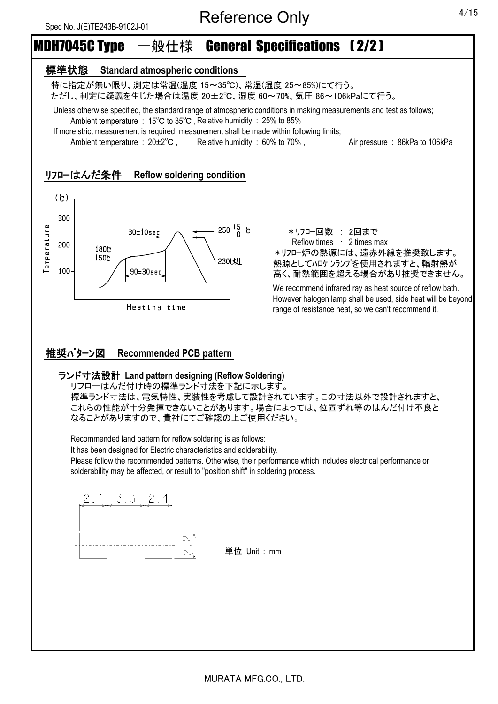# MDH7045C Type 一般仕様 General Specifications ( 2/2 )

## 標準状態 **Standard atmospheric conditions**

 特に指定が無い限り、測定は常温(温度 15~35℃)、常湿(湿度 25~85%)にて行う。 ただし、判定に疑義を生じた場合は温度 20±2℃、湿度 60~70%、気圧 86~106kPaにて行う。

 Unless otherwise specified, the standard range of atmospheric conditions in making measurements and test as follows; Ambient temperature : 15℃ to 35℃ ,Relative humidity : 25% to 85%

If more strict measurement is required, measurement shall be made within following limits;

Ambient temperature : 20±2<sup>°</sup>C, Relative humidity : 60% to 70%, Air pressure : 86kPa to 106kPa

## リフローはんだ条件 **Reflow soldering condition**



\*リフロー回数 : 2回まで Reflow times : 2 times max \*リフロー炉の熱源には、遠赤外線を推奨致します。 熱源としてハロゲンランプを使用されますと、輻射熱が 高く、耐熱範囲を超える場合があり推奨できません。

We recommend infrared ray as heat source of reflow bath. However halogen lamp shall be used, side heat will be beyond range of resistance heat, so we can't recommend it.

# 推奨パターン図 **Recommended PCB pattern**

### ランド寸法設計 **Land pattern designing (Reflow Soldering)**

リフローはんだ付け時の標準ランド寸法を下記に示します。 標準ランド寸法は、電気特性、実装性を考慮して設計されています。この寸法以外で設計されますと、 これらの性能が十分発揮できないことがあります。場合によっては、位置ずれ等のはんだ付け不良と なることがありますので、貴社にてご確認の上ご使用ください。

Recommended land pattern for reflow soldering is as follows:

It has been designed for Electric characteristics and solderability.

Please follow the recommended patterns. Otherwise, their performance which includes electrical performance or solderability may be affected, or result to "position shift" in soldering process.



MURATA MFG.CO., LTD.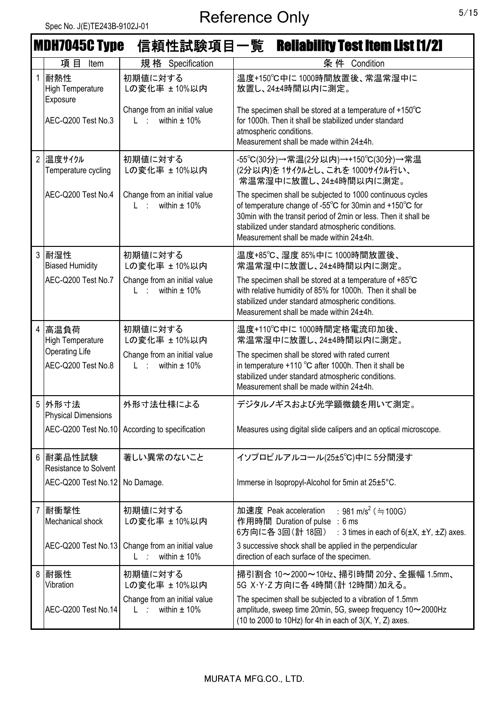|                | <b>MDH7045C Type</b>                        |                                                                     | 信頼性試験項目一覧 Reliability Test Item List [1/2]                                                                                                                                                                                                                                              |
|----------------|---------------------------------------------|---------------------------------------------------------------------|-----------------------------------------------------------------------------------------------------------------------------------------------------------------------------------------------------------------------------------------------------------------------------------------|
|                | 項目<br>Item                                  | 規格 Specification                                                    | 条件<br>Condition                                                                                                                                                                                                                                                                         |
|                | 耐熱性<br><b>High Temperature</b><br>Exposure  | 初期値に対する<br>Lの変化率 ±10%以内                                             | 温度+150℃中に1000時間放置後、常温常湿中に<br>放置し、24±4時間以内に測定。                                                                                                                                                                                                                                           |
|                | AEC-Q200 Test No.3                          | Change from an initial value<br>within $\pm$ 10%<br>$L$ :           | The specimen shall be stored at a temperature of $+150^{\circ}$ C<br>for 1000h. Then it shall be stabilized under standard<br>atmospheric conditions.<br>Measurement shall be made within 24±4h.                                                                                        |
| $\overline{2}$ | 温度サイクル<br>Temperature cycling               | 初期値に対する<br>Lの変化率 ± 10%以内                                            | -55℃(30分)→常温(2分以内)→+150℃(30分)→常温<br>(2分以内)を1サイクルとし、これを1000サイクル行い、<br>常温常湿中に放置し、24±4時間以内に測定。                                                                                                                                                                                             |
|                | AEC-Q200 Test No.4                          | Change from an initial value<br>within $\pm$ 10%<br>L ÷             | The specimen shall be subjected to 1000 continuous cycles<br>of temperature change of -55°C for 30min and +150°C for<br>30min with the transit period of 2min or less. Then it shall be<br>stabilized under standard atmospheric conditions.<br>Measurement shall be made within 24±4h. |
| $\mathfrak{Z}$ | 耐湿性<br><b>Biased Humidity</b>               | 初期値に対する<br>Lの変化率 ± 10%以内                                            | 温度+85℃、湿度 85%中に 1000時間放置後、<br>常温常湿中に放置し、24±4時間以内に測定。                                                                                                                                                                                                                                    |
|                | AEC-Q200 Test No.7                          | Change from an initial value<br>within $\pm$ 10%<br>L ÷             | The specimen shall be stored at a temperature of $+85^{\circ}$ C<br>with relative humidity of 85% for 1000h. Then it shall be<br>stabilized under standard atmospheric conditions.<br>Measurement shall be made within 24±4h.                                                           |
| $\overline{4}$ | 高温負荷<br>High Temperature                    | 初期値に対する<br>Lの変化率 ± 10%以内                                            | 温度+110℃中に1000時間定格電流印加後、<br>常温常湿中に放置し、24±4時間以内に測定。                                                                                                                                                                                                                                       |
|                | <b>Operating Life</b><br>AEC-Q200 Test No.8 | Change from an initial value<br>within $\pm$ 10%<br>Listan          | The specimen shall be stored with rated current<br>in temperature +110 °C after 1000h. Then it shall be<br>stabilized under standard atmospheric conditions.<br>Measurement shall be made within 24±4h.                                                                                 |
|                | 5 外形寸法<br><b>Physical Dimensions</b>        | 外形寸法仕様による                                                           | デジタルノギスおよび光学顕微鏡を用いて測定。                                                                                                                                                                                                                                                                  |
|                | AEC-Q200 Test No.10                         | According to specification                                          | Measures using digital slide calipers and an optical microscope.                                                                                                                                                                                                                        |
|                | 6 耐薬品性試験<br>Resistance to Solvent           | 著しい異常のないこと                                                          | イソプロピルアルコール(25±5℃)中に5分間浸す                                                                                                                                                                                                                                                               |
|                | AEC-Q200 Test No.12                         | No Damage.                                                          | Immerse in Isopropyl-Alcohol for 5min at 25±5°C.                                                                                                                                                                                                                                        |
|                | 耐衝撃性<br>Mechanical shock                    | 初期値に対する<br>Lの変化率 ±10%以内                                             | : 981 m/s <sup>2</sup> (≒100G)<br>加速度 Peak acceleration<br>作用時間 Duration of pulse : 6 ms<br>6方向に各 3回(計 18回)<br>: 3 times in each of $6(\pm X, \pm Y, \pm Z)$ axes.                                                                                                                      |
|                | AEC-Q200 Test No.13                         | Change from an initial value<br>within $\pm$ 10%<br>$L \rightarrow$ | 3 successive shock shall be applied in the perpendicular<br>direction of each surface of the specimen.                                                                                                                                                                                  |
| 8              | 耐振性<br>Vibration                            | 初期値に対する<br>Lの変化率 ± 10%以内                                            | 掃引割合 10~2000~10Hz、掃引時間 20分、全振幅 1.5mm、<br>5G X・Y・Z 方向に各 4時間(計 12時間)加える。                                                                                                                                                                                                                  |
|                | AEC-Q200 Test No.14                         | Change from an initial value<br>within $\pm$ 10%<br>L               | The specimen shall be subjected to a vibration of 1.5mm<br>amplitude, sweep time 20min, 5G, sweep frequency 10~2000Hz<br>(10 to 2000 to 10Hz) for 4h in each of $3(X, Y, Z)$ axes.                                                                                                      |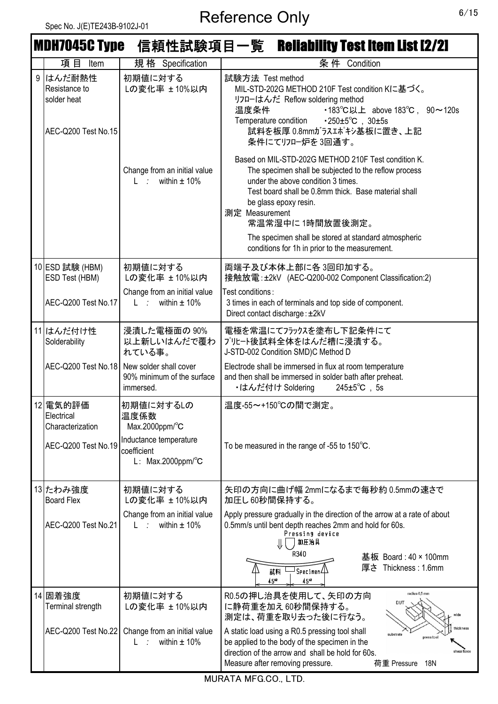|                  | <b>MDH7045C Type</b>                                          |                                                                             | 信頼性試験項目一覧 Reliability Test Item List [2/2]                                                                                                                                                                                                                                                                                       |
|------------------|---------------------------------------------------------------|-----------------------------------------------------------------------------|----------------------------------------------------------------------------------------------------------------------------------------------------------------------------------------------------------------------------------------------------------------------------------------------------------------------------------|
|                  | 項 目<br>Item                                                   | 規格 Specification                                                            | 条件 Condition                                                                                                                                                                                                                                                                                                                     |
| $\boldsymbol{9}$ | はんだ耐熱性<br>Resistance to<br>solder heat<br>AEC-Q200 Test No.15 | 初期値に対する<br>Lの変化率 ± 10%以内                                                    | 試験方法 Test method<br>MIL-STD-202G METHOD 210F Test condition Kに基づく。<br>リフローはんだ Reflow soldering method<br>•183°C以上 above 183°C, 90~120s<br>温度条件<br>$\cdot 250 \pm 5^{\circ}$ C, $30 \pm 5s$<br>Temperature condition<br>試料を板厚 0.8mmガラスエポキシ基板に置き、上記<br>条件にてリフロー炉を3回通す。                                                             |
|                  |                                                               | Change from an initial value<br>within $\pm$ 10%<br>$L \rightarrow$         | Based on MIL-STD-202G METHOD 210F Test condition K.<br>The specimen shall be subjected to the reflow process<br>under the above condition 3 times.<br>Test board shall be 0.8mm thick. Base material shall<br>be glass epoxy resin.<br>測定 Measurement<br>常温常湿中に1時間放置後測定。<br>The specimen shall be stored at standard atmospheric |
|                  |                                                               |                                                                             | conditions for 1h in prior to the measurement.                                                                                                                                                                                                                                                                                   |
|                  | 10 ESD 試験 (HBM)<br>ESD Test (HBM)                             | 初期値に対する<br>Lの変化率 ± 10%以内                                                    | 両端子及び本体上部に各3回印加する。<br>接触放電: ±2kV (AEC-Q200-002 Component Classification:2)                                                                                                                                                                                                                                                       |
|                  | AEC-Q200 Test No.17                                           | Change from an initial value<br>L : within $\pm$ 10%                        | Test conditions:<br>3 times in each of terminals and top side of component.<br>Direct contact discharge: ±2kV                                                                                                                                                                                                                    |
|                  | 11 はんだ付け性<br>Solderability                                    | 浸漬した電極面の 90%<br>以上新しいはんだで覆わ<br>れている事。                                       | 電極を常温にてフラックスを塗布し下記条件にて<br>プリヒート後試料全体をはんだ槽に浸漬する。<br>J-STD-002 Condition SMD)C Method D                                                                                                                                                                                                                                            |
|                  | AEC-Q200 Test No.18                                           | New solder shall cover<br>90% minimum of the surface<br>immersed.           | Electrode shall be immersed in flux at room temperature<br>and then shall be immersed in solder bath after preheat.<br>・はんだ付け Soldering<br>$245 \pm 5^{\circ}$ C, 5s                                                                                                                                                             |
|                  | 12 電気的評価<br>Electrical<br>Characterization                    | 初期値に対するしの<br>温度係数<br>Max.2000ppm/°C                                         | 温度-55~+150℃の間で測定。                                                                                                                                                                                                                                                                                                                |
|                  | AEC-Q200 Test No.19                                           | Inductance temperature<br>coefficient<br>L: $Max.2000$ ppm/ $\textdegree$ C | To be measured in the range of -55 to $150^{\circ}$ C.                                                                                                                                                                                                                                                                           |
|                  | 13 たわみ強度<br><b>Board Flex</b>                                 | 初期値に対する<br>Lの変化率 ± 10%以内                                                    | 矢印の方向に曲げ幅 2mmになるまで毎秒約 0.5mmの速さで<br>加圧し60秒間保持する。                                                                                                                                                                                                                                                                                  |
|                  | AEC-Q200 Test No.21                                           | Change from an initial value<br>within $\pm$ 10%<br>$L \rightarrow \infty$  | Apply pressure gradually in the direction of the arrow at a rate of about<br>0.5mm/s until bent depth reaches 2mm and hold for 60s.<br>Pressing device<br>加圧治具                                                                                                                                                                   |
|                  |                                                               |                                                                             | R340<br>基板 Board: 40 × 100mm<br>厚さ Thickness : 1.6mm<br>$\mathsf{J}_{\mathsf{Specimen}}$<br>試料<br>45 <sup>#2</sup><br>$45^{*2}$                                                                                                                                                                                                  |
|                  | 14 固着強度<br>Terminal strength                                  | 初期値に対する<br>Lの変化率 ±10%以内                                                     | radius 0,5 mm<br>R0.5の押し治具を使用して、矢印の方向<br>DUT<br>に静荷重を加え60秒間保持する。<br>測定は、荷重を取り去った後に行なう。                                                                                                                                                                                                                                           |
|                  | AEC-Q200 Test No.22                                           | Change from an initial value<br>within $\pm$ 10%<br>L ÷                     | thickness<br>A static load using a R0.5 pressing tool shall<br>substrate<br>press tool<br>be applied to the body of the specimen in the<br>direction of the arrow and shall be hold for 60s.<br>shear force<br><b>18N</b><br>Measure after removing pressure.<br>荷重 Pressure                                                     |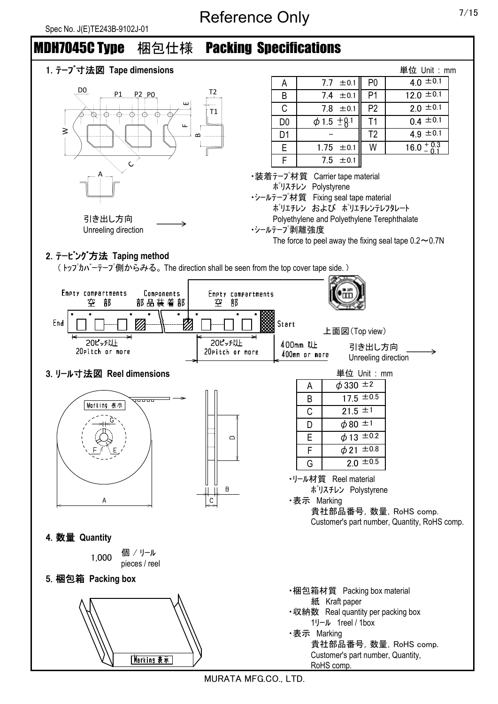# Reference Only 7/15





MURATA MFG.CO., LTD.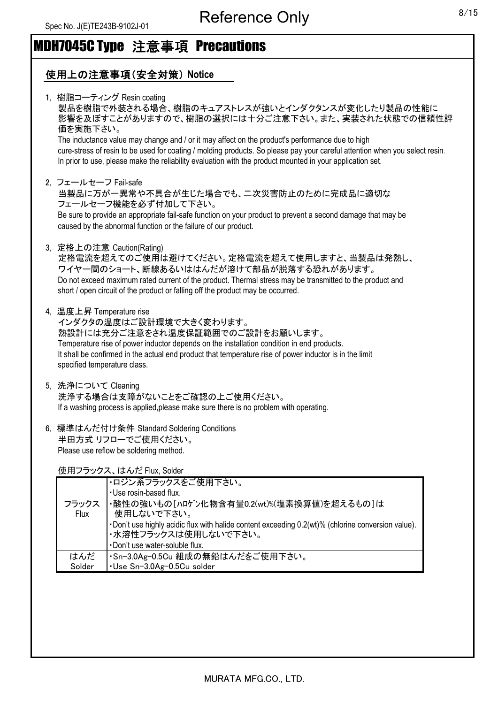# MDH7045C Type 注意事項 Precautions

# 使用上の注意事項(安全対策) **Notice**

|  | 1, 樹脂コーティング Resin coating<br>製品を樹脂で外装される場合、樹脂のキュアストレスが強いとインダクタンスが変化したり製品の性能に<br>影響を及ぼすことがありますので、樹脂の選択には十分ご注意下さい。また、実装された状態での信頼性評<br>価を実施下さい。<br>The inductance value may change and / or it may affect on the product's performance due to high<br>cure-stress of resin to be used for coating / molding products. So please pay your careful attention when you select resin.<br>In prior to use, please make the reliability evaluation with the product mounted in your application set. |
|--|---------------------------------------------------------------------------------------------------------------------------------------------------------------------------------------------------------------------------------------------------------------------------------------------------------------------------------------------------------------------------------------------------------------------------------------------------------------------------------------------|
|  | 2. フェールセーフ Fail-safe<br>当製品に万が一異常や不具合が生じた場合でも、二次災害防止のために完成品に適切な<br>フェールセーフ機能を必ず付加して下さい。<br>Be sure to provide an appropriate fail-safe function on your product to prevent a second damage that may be<br>caused by the abnormal function or the failure of our product.                                                                                                                                                                                                                    |
|  | 3. 定格上の注意 Caution(Rating)<br>定格電流を超えてのご使用は避けてください。定格電流を超えて使用しますと、当製品は発熱し、<br>ワイヤー間のショート、断線あるいははんだが溶けて部品が脱落する恐れがあります。<br>Do not exceed maximum rated current of the product. Thermal stress may be transmitted to the product and<br>short / open circuit of the product or falling off the product may be occurred.                                                                                                                                                                         |
|  | 4, 温度上昇 Temperature rise<br>インダクタの温度はご設計環境で大きく変わります。<br>熱設計には充分ご注意をされ温度保証範囲でのご設計をお願いします。<br>Temperature rise of power inductor depends on the installation condition in end products.<br>It shall be confirmed in the actual end product that temperature rise of power inductor is in the limit<br>specified temperature class.                                                                                                                                                            |
|  | 5, 洗浄について Cleaning<br>洗浄する場合は支障がないことをご確認の上ご使用ください。<br>If a washing process is applied, please make sure there is no problem with operating.                                                                                                                                                                                                                                                                                                                                                 |
|  | 6, 標準はんだ付け条件 Standard Soldering Conditions<br>半田方式リフローでご使用ください。                                                                                                                                                                                                                                                                                                                                                                                                                             |

Please use reflow be soldering method.

使用フラックス、はんだ Flux, Solder

| フラックス<br>Flux | ・ロジン系フラックスをご使用下さい。<br>. Use rosin-based flux.<br>・酸性の強いもの[ハロゲン化物含有量0.2(wt)%(塩素換算値)を超えるもの]は<br>使用しないで下さい。<br>-Don't use highly acidic flux with halide content exceeding 0.2(wt)% (chlorine conversion value).<br>・水溶性フラックスは使用しないで下さい。<br>. Don't use water-soluble flux. |
|---------------|--------------------------------------------------------------------------------------------------------------------------------------------------------------------------------------------------------------------------------------------------------------------------|
|               |                                                                                                                                                                                                                                                                          |
| はんだ           | ・Sn-3.0Ag-0.5Cu 組成の無鉛はんだをご使用下さい。                                                                                                                                                                                                                                         |
| Solder        | .Use Sn-3.0Ag-0.5Cu solder                                                                                                                                                                                                                                               |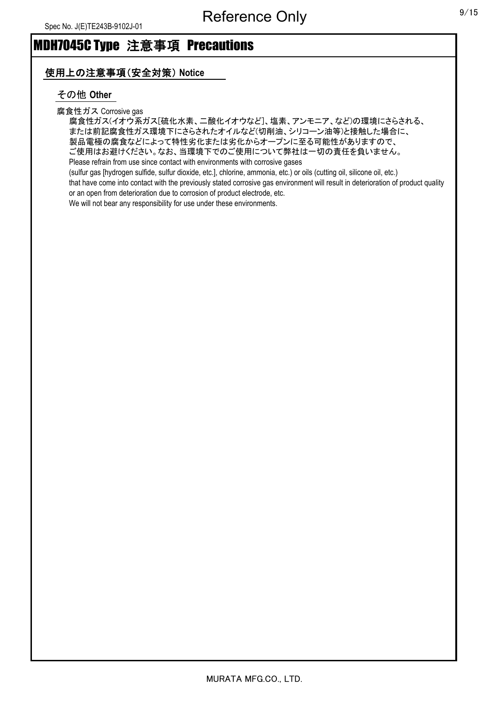## 使用上の注意事項(安全対策) **Notice**

## その他 **Other**

腐食性ガス Corrosive gas

腐食性ガス(イオウ系ガス[硫化水素、二酸化イオウなど]、塩素、アンモニア、など)の環境にさらされる、 または前記腐食性ガス環境下にさらされたオイルなど(切削油、シリコーン油等)と接触した場合に、 製品電極の腐食などによって特性劣化または劣化からオープンに至る可能性がありますので、 ご使用はお避けください。なお、当環境下でのご使用について弊社は一切の責任を負いません。 Please refrain from use since contact with environments with corrosive gases (sulfur gas [hydrogen sulfide, sulfur dioxide, etc.], chlorine, ammonia, etc.) or oils (cutting oil, silicone oil, etc.)

that have come into contact with the previously stated corrosive gas environment will result in deterioration of product quality or an open from deterioration due to corrosion of product electrode, etc.

We will not bear any responsibility for use under these environments.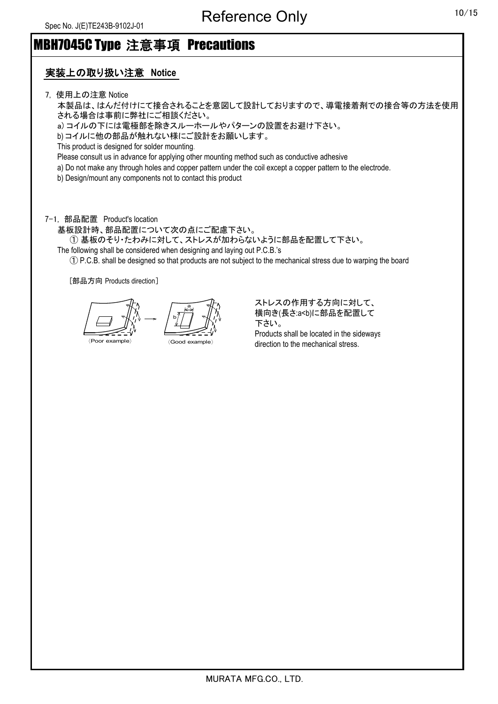# MBH7045C Type 注意事項 Precautions

# 実装上の取り扱い注意 **Notice**

7, 使用上の注意 Notice

本製品は、はんだ付けにて接合されることを意図して設計しておりますので、導電接着剤での接合等の方法を使用 される場合は事前に弊社にご相談ください。

a) コイルの下には電極部を除きスルーホールやパターンの設置をお避け下さい。

b) コイルに他の部品が触れない様にご設計をお願いします。

This product is designed for solder mounting.

Please consult us in advance for applying other mounting method such as conductive adhesive

a) Do not make any through holes and copper pattern under the coil except a copper pattern to the electrode.

b) Design/mount any components not to contact this product

7-1, 部品配置 Product's location

基板設計時、部品配置について次の点にご配慮下さい。

① 基板のそり・たわみに対して、ストレスが加わらないように部品を配置して下さい。

The following shall be considered when designing and laying out P.C.B.'s

① P.C.B. shall be designed so that products are not subject to the mechanical stress due to warping the board

[部品方向 Products direction]

〈Poor example〉 〈Good example〉 b a

ストレスの作用する方向に対して、 横向き(長さ:a<b)に部品を配置して 下さい。 Products shall be located in the sideways direction to the mechanical stress.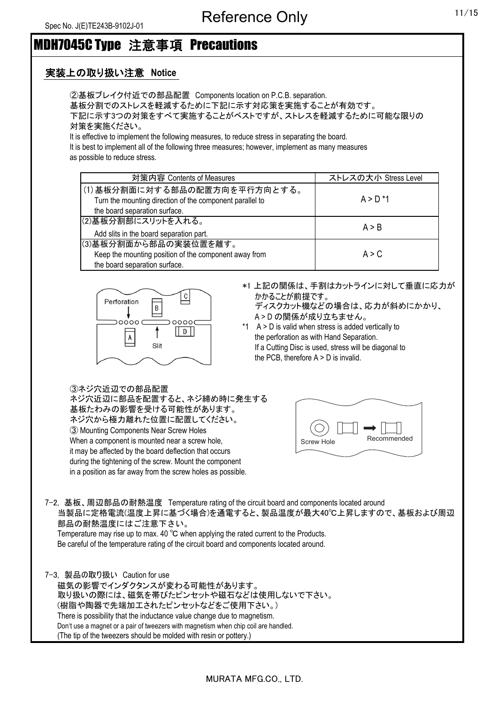## 実装上の取り扱い注意 **Notice**

②基板ブレイク付近での部品配置 Components location on P.C.B. separation. 基板分割でのストレスを軽減するために下記に示す対応策を実施することが有効です。 下記に示す3つの対策をすべて実施することがベストですが、ストレスを軽減するために可能な限りの 対策を実施ください。

It is effective to implement the following measures, to reduce stress in separating the board. It is best to implement all of the following three measures; however, implement as many measures

as possible to reduce stress.

| 対策内容 Contents of Measures                                                                                                 | ストレスの大小 Stress Level |
|---------------------------------------------------------------------------------------------------------------------------|----------------------|
| (1)基板分割面に対する部品の配置方向を平行方向とする。<br>Turn the mounting direction of the component parallel to<br>the board separation surface. | $A > D^*1$           |
| (2)基板分割部にスリットを入れる。<br>Add slits in the board separation part.                                                             | A > B                |
| (3)基板分割面から部品の実装位置を離す。<br>Keep the mounting position of the component away from<br>the board separation surface.           | A > C                |



\*1 上記の関係は、手割はカットラインに対して垂直に応力が かかることが前提です。

ディスクカット機などの場合は、応力が斜めにかかり、 A > D の関係が成り立ちません。

\*1 A > D is valid when stress is added vertically to the perforation as with Hand Separation. If a Cutting Disc is used, stress will be diagonal to the PCB, therefore A > D is invalid.

③ネジ穴近辺での部品配置

ネジ穴近辺に部品を配置すると、ネジ締め時に発生する 基板たわみの影響を受ける可能性があります。 ネジ穴から極力離れた位置に配置してください。 ③ Mounting Components Near Screw Holes When a component is mounted near a screw hole, it may be affected by the board deflection that occurs during the tightening of the screw. Mount the component in a position as far away from the screw holes as possible.



7-2, 基板、周辺部品の耐熱温度 Temperature rating of the circuit board and components located around 当製品に定格電流(温度上昇に基づく場合)を通電すると、製品温度が最大40℃上昇しますので、基板および周辺 部品の耐熱温度にはご注意下さい。 Temperature may rise up to max. 40 ℃ when applying the rated current to the Products.

Be careful of the temperature rating of the circuit board and components located around.

7-3, 製品の取り扱い Caution for use 磁気の影響でインダクタンスが変わる可能性があります。 取り扱いの際には、磁気を帯びたピンセットや磁石などは使用しないで下さい。 (樹脂や陶器で先端加工されたピンセットなどをご使用下さい。) There is possibility that the inductance value change due to magnetism. Don't use a magnet or a pair of tweezers with magnetism when chip coil are handled. (The tip of the tweezers should be molded with resin or pottery.)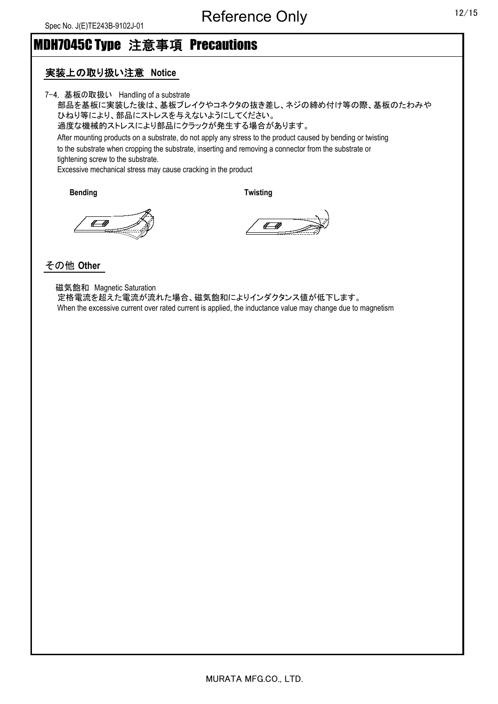#### 実装上の取り扱い注意 **Notice**

7-4, 基板の取扱い Handling of a substrate

部品を基板に実装した後は、基板ブレイクやコネクタの抜き差し、ネジの締め付け等の際、基板のたわみや ひねり等により、部品にストレスを与えないようにしてください。 過度な機械的ストレスにより部品にクラックが発生する場合があります。 After mounting products on a substrate, do not apply any stress to the product caused by bending or twisting to the substrate when cropping the substrate, inserting and removing a connector from the substrate or tightening screw to the substrate. Excessive mechanical stress may cause cracking in the product

**Bending Twisting**

 $\leftarrow$ 

 $\sqrt{a}$ 

## その他 **Other**

 磁気飽和 Magnetic Saturation 定格電流を超えた電流が流れた場合、磁気飽和によりインダクタンス値が低下します。 When the excessive current over rated current is applied, the inductance value may change due to magnetism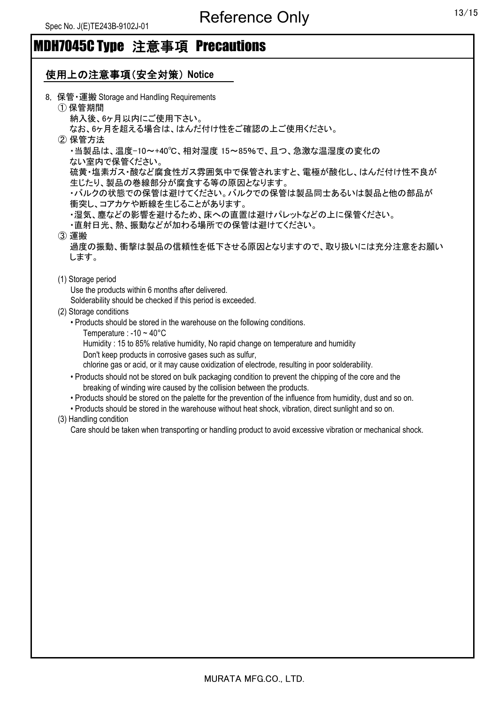# 使用上の注意事項(安全対策) **Notice**

| 8. 保管 · 運搬 Storage and Handling Requirements                                                                  |
|---------------------------------------------------------------------------------------------------------------|
| ① 保管期間<br>納入後、6ヶ月以内にご使用下さい。                                                                                   |
| なお、6ヶ月を超える場合は、はんだ付け性をご確認の上ご使用ください。                                                                            |
| ② 保管方法                                                                                                        |
| ・当製品は、温度-10~+40℃、相対湿度 15~85%で、且つ、急激な温湿度の変化の                                                                   |
| ない室内で保管ください。                                                                                                  |
| 硫黄・塩素ガス・酸など腐食性ガス雰囲気中で保管されますと、電極が酸化し、はんだ付け性不良が<br>生じたり、製品の巻線部分が腐食する等の原因となります。                                  |
| ・バルクの状態での保管は避けてください。バルクでの保管は製品同士あるいは製品と他の部品が                                                                  |
| 衝突し、コアカケや断線を生じることがあります。                                                                                       |
| ・湿気、塵などの影響を避けるため、床への直置は避けパレットなどの上に保管ください。                                                                     |
| ・直射日光、熱、振動などが加わる場所での保管は避けてください。                                                                               |
| (3) 運搬                                                                                                        |
| 過度の振動、衝撃は製品の信頼性を低下させる原因となりますので、取り扱いには充分注意をお願い                                                                 |
| します。                                                                                                          |
| (1) Storage period                                                                                            |
| Use the products within 6 months after delivered.                                                             |
| Solderability should be checked if this period is exceeded.                                                   |
| (2) Storage conditions                                                                                        |
| • Products should be stored in the warehouse on the following conditions.                                     |
| Temperature : -10 $\sim$ 40 $^{\circ}$ C                                                                      |
| Humidity: 15 to 85% relative humidity, No rapid change on temperature and humidity                            |
| Don't keep products in corrosive gases such as sulfur,                                                        |
| chlorine gas or acid, or it may cause oxidization of electrode, resulting in poor solderability.              |
| • Products should not be stored on bulk packaging condition to prevent the chipping of the core and the       |
| breaking of winding wire caused by the collision between the products.                                        |
| . Products should be stored on the palette for the prevention of the influence from humidity, dust and so on. |
|                                                                                                               |
| . Products should be stored in the warehouse without heat shock, vibration, direct sunlight and so on.        |
| (3) Handling condition                                                                                        |
| Care should be taken when transporting or handling product to avoid excessive vibration or mechanical shock.  |
|                                                                                                               |
|                                                                                                               |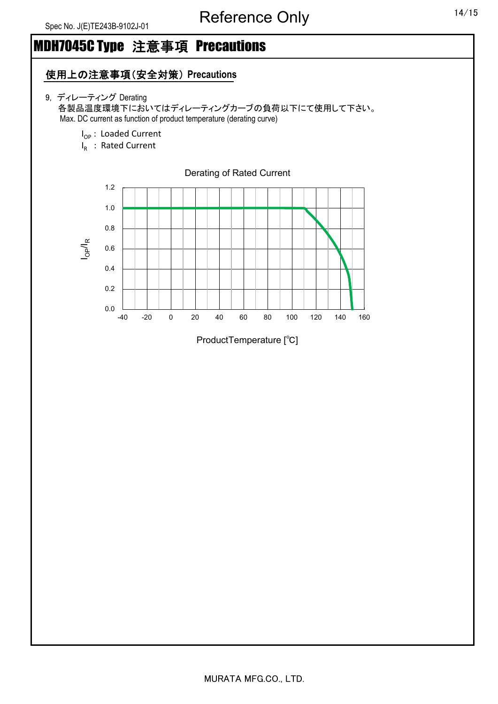## 使用上の注意事項(安全対策) **Precautions**

- 9, ディレーティング Derating 各製品温度環境下においてはディレーティングカーブの負荷以下にて使用して下さい。 Max. DC current as function of product temperature (derating curve)
	- I<sub>OP</sub>: Loaded Current
	- $I_R$  : Rated Current